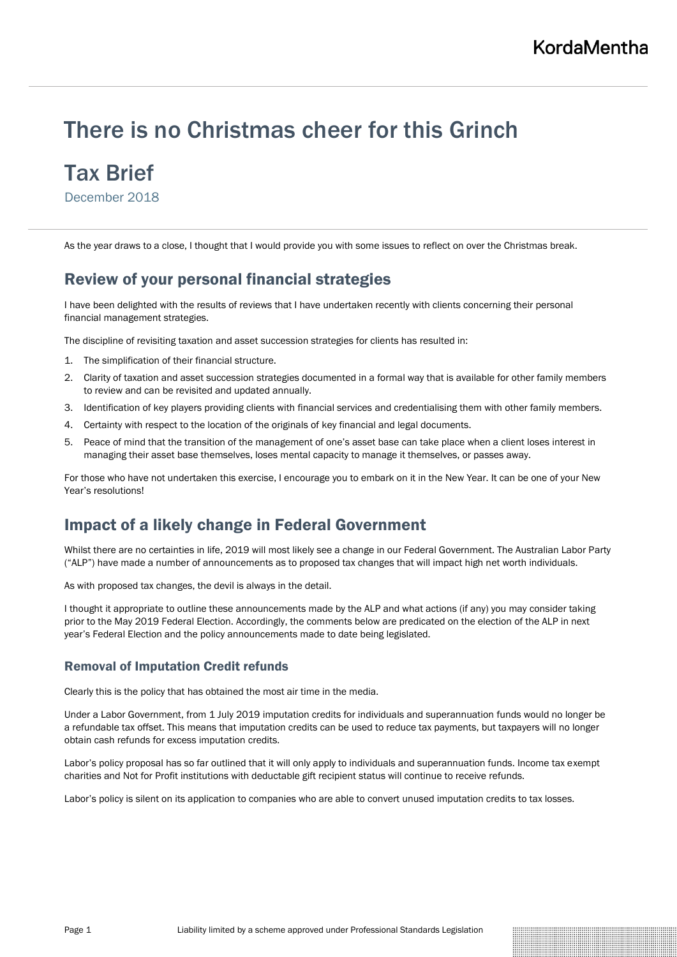# There is no Christmas cheer for this Grinch

# Tax Brief

December 2018

As the year draws to a close, I thought that I would provide you with some issues to reflect on over the Christmas break.

# Review of your personal financial strategies

I have been delighted with the results of reviews that I have undertaken recently with clients concerning their personal financial management strategies.

The discipline of revisiting taxation and asset succession strategies for clients has resulted in:

- 1. The simplification of their financial structure.
- 2. Clarity of taxation and asset succession strategies documented in a formal way that is available for other family members to review and can be revisited and updated annually.
- 3. Identification of key players providing clients with financial services and credentialising them with other family members.
- 4. Certainty with respect to the location of the originals of key financial and legal documents.
- 5. Peace of mind that the transition of the management of one's asset base can take place when a client loses interest in managing their asset base themselves, loses mental capacity to manage it themselves, or passes away.

For those who have not undertaken this exercise, I encourage you to embark on it in the New Year. It can be one of your New Year's resolutions!

# Impact of a likely change in Federal Government

Whilst there are no certainties in life, 2019 will most likely see a change in our Federal Government. The Australian Labor Party ("ALP") have made a number of announcements as to proposed tax changes that will impact high net worth individuals.

As with proposed tax changes, the devil is always in the detail.

I thought it appropriate to outline these announcements made by the ALP and what actions (if any) you may consider taking prior to the May 2019 Federal Election. Accordingly, the comments below are predicated on the election of the ALP in next year's Federal Election and the policy announcements made to date being legislated.

## Removal of Imputation Credit refunds

Clearly this is the policy that has obtained the most air time in the media.

Under a Labor Government, from 1 July 2019 imputation credits for individuals and superannuation funds would no longer be a refundable tax offset. This means that imputation credits can be used to reduce tax payments, but taxpayers will no longer obtain cash refunds for excess imputation credits.

Labor's policy proposal has so far outlined that it will only apply to individuals and superannuation funds. Income tax exempt charities and Not for Profit institutions with deductable gift recipient status will continue to receive refunds.

Labor's policy is silent on its application to companies who are able to convert unused imputation credits to tax losses.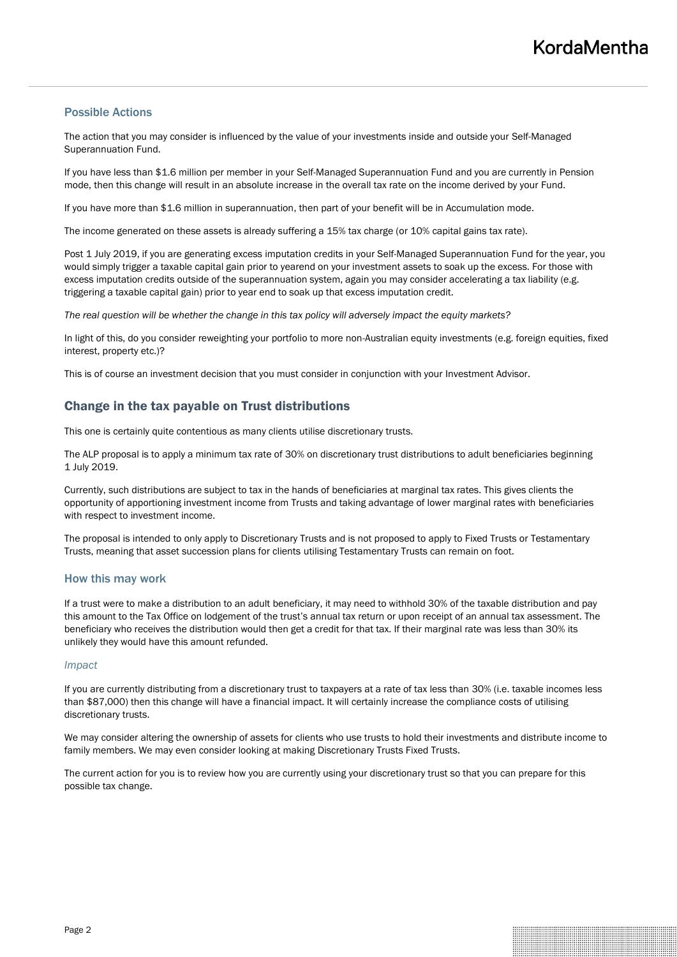### Possible Actions

The action that you may consider is influenced by the value of your investments inside and outside your Self-Managed Superannuation Fund.

If you have less than \$1.6 million per member in your Self-Managed Superannuation Fund and you are currently in Pension mode, then this change will result in an absolute increase in the overall tax rate on the income derived by your Fund.

If you have more than \$1.6 million in superannuation, then part of your benefit will be in Accumulation mode.

The income generated on these assets is already suffering a 15% tax charge (or 10% capital gains tax rate).

Post 1 July 2019, if you are generating excess imputation credits in your Self-Managed Superannuation Fund for the year, you would simply trigger a taxable capital gain prior to yearend on your investment assets to soak up the excess. For those with excess imputation credits outside of the superannuation system, again you may consider accelerating a tax liability (e.g. triggering a taxable capital gain) prior to year end to soak up that excess imputation credit.

*The real question will be whether the change in this tax policy will adversely impact the equity markets?*

In light of this, do you consider reweighting your portfolio to more non-Australian equity investments (e.g. foreign equities, fixed interest, property etc.)?

This is of course an investment decision that you must consider in conjunction with your Investment Advisor.

# Change in the tax payable on Trust distributions

This one is certainly quite contentious as many clients utilise discretionary trusts.

The ALP proposal is to apply a minimum tax rate of 30% on discretionary trust distributions to adult beneficiaries beginning 1 July 2019.

Currently, such distributions are subject to tax in the hands of beneficiaries at marginal tax rates. This gives clients the opportunity of apportioning investment income from Trusts and taking advantage of lower marginal rates with beneficiaries with respect to investment income.

The proposal is intended to only apply to Discretionary Trusts and is not proposed to apply to Fixed Trusts or Testamentary Trusts, meaning that asset succession plans for clients utilising Testamentary Trusts can remain on foot.

#### How this may work

If a trust were to make a distribution to an adult beneficiary, it may need to withhold 30% of the taxable distribution and pay this amount to the Tax Office on lodgement of the trust's annual tax return or upon receipt of an annual tax assessment. The beneficiary who receives the distribution would then get a credit for that tax. If their marginal rate was less than 30% its unlikely they would have this amount refunded.

#### *Impact*

If you are currently distributing from a discretionary trust to taxpayers at a rate of tax less than 30% (i.e. taxable incomes less than \$87,000) then this change will have a financial impact. It will certainly increase the compliance costs of utilising discretionary trusts.

We may consider altering the ownership of assets for clients who use trusts to hold their investments and distribute income to family members. We may even consider looking at making Discretionary Trusts Fixed Trusts.

The current action for you is to review how you are currently using your discretionary trust so that you can prepare for this possible tax change.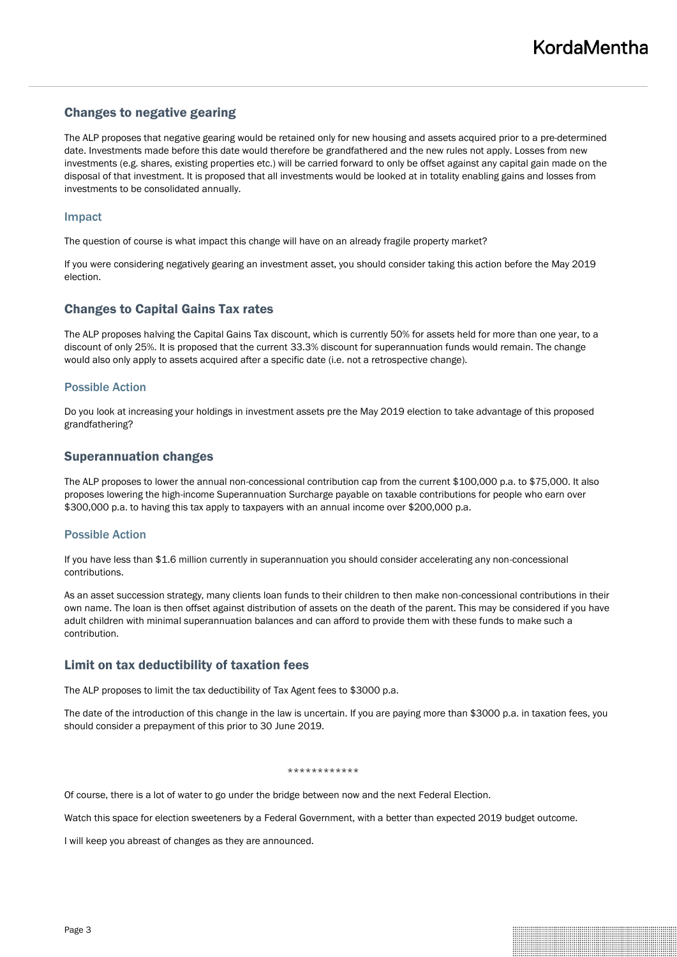# Changes to negative gearing

The ALP proposes that negative gearing would be retained only for new housing and assets acquired prior to a pre-determined date. Investments made before this date would therefore be grandfathered and the new rules not apply. Losses from new investments (e.g. shares, existing properties etc.) will be carried forward to only be offset against any capital gain made on the disposal of that investment. It is proposed that all investments would be looked at in totality enabling gains and losses from investments to be consolidated annually.

#### Impact

The question of course is what impact this change will have on an already fragile property market?

If you were considering negatively gearing an investment asset, you should consider taking this action before the May 2019 election.

# Changes to Capital Gains Tax rates

The ALP proposes halving the Capital Gains Tax discount, which is currently 50% for assets held for more than one year, to a discount of only 25%. It is proposed that the current 33.3% discount for superannuation funds would remain. The change would also only apply to assets acquired after a specific date (i.e. not a retrospective change).

### Possible Action

Do you look at increasing your holdings in investment assets pre the May 2019 election to take advantage of this proposed grandfathering?

### Superannuation changes

The ALP proposes to lower the annual non-concessional contribution cap from the current \$100,000 p.a. to \$75,000. It also proposes lowering the high-income Superannuation Surcharge payable on taxable contributions for people who earn over \$300,000 p.a. to having this tax apply to taxpayers with an annual income over \$200,000 p.a.

#### Possible Action

If you have less than \$1.6 million currently in superannuation you should consider accelerating any non-concessional contributions.

As an asset succession strategy, many clients loan funds to their children to then make non-concessional contributions in their own name. The loan is then offset against distribution of assets on the death of the parent. This may be considered if you have adult children with minimal superannuation balances and can afford to provide them with these funds to make such a contribution.

## Limit on tax deductibility of taxation fees

The ALP proposes to limit the tax deductibility of Tax Agent fees to \$3000 p.a.

The date of the introduction of this change in the law is uncertain. If you are paying more than \$3000 p.a. in taxation fees, you should consider a prepayment of this prior to 30 June 2019.

#### \*\*\*\*\*\*\*\*\*\*\*\*

Of course, there is a lot of water to go under the bridge between now and the next Federal Election.

Watch this space for election sweeteners by a Federal Government, with a better than expected 2019 budget outcome.

I will keep you abreast of changes as they are announced.